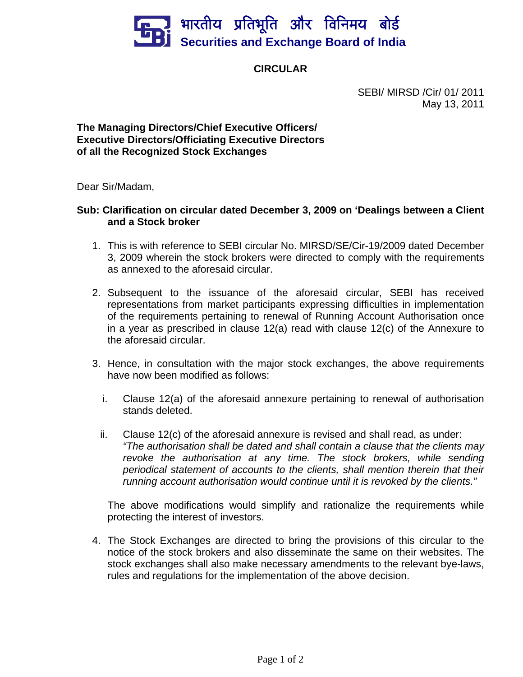

## **CIRCULAR**

 SEBI/ MIRSD /Cir/ 01/ 2011 May 13, 2011

## **The Managing Directors/Chief Executive Officers/ Executive Directors/Officiating Executive Directors of all the Recognized Stock Exchanges**

Dear Sir/Madam,

## **Sub: Clarification on circular dated December 3, 2009 on 'Dealings between a Client and a Stock broker**

- 1. This is with reference to SEBI circular No. MIRSD/SE/Cir-19/2009 dated December 3, 2009 wherein the stock brokers were directed to comply with the requirements as annexed to the aforesaid circular.
- 2. Subsequent to the issuance of the aforesaid circular, SEBI has received representations from market participants expressing difficulties in implementation of the requirements pertaining to renewal of Running Account Authorisation once in a year as prescribed in clause 12(a) read with clause 12(c) of the Annexure to the aforesaid circular.
- 3. Hence, in consultation with the major stock exchanges, the above requirements have now been modified as follows:
	- i. Clause 12(a) of the aforesaid annexure pertaining to renewal of authorisation stands deleted.
	- ii. Clause 12(c) of the aforesaid annexure is revised and shall read, as under: *"The authorisation shall be dated and shall contain a clause that the clients may revoke the authorisation at any time. The stock brokers, while sending periodical statement of accounts to the clients, shall mention therein that their running account authorisation would continue until it is revoked by the clients."*

The above modifications would simplify and rationalize the requirements while protecting the interest of investors.

4. The Stock Exchanges are directed to bring the provisions of this circular to the notice of the stock brokers and also disseminate the same on their websites. The stock exchanges shall also make necessary amendments to the relevant bye-laws, rules and regulations for the implementation of the above decision.